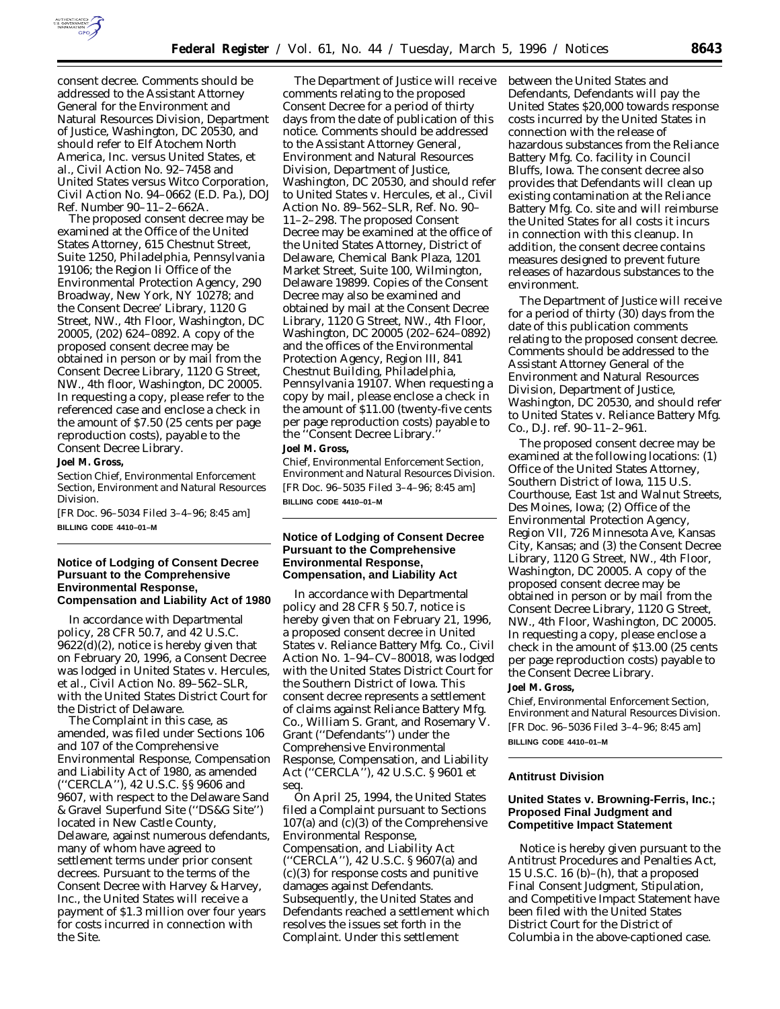

consent decree. Comments should be addressed to the Assistant Attorney General for the Environment and Natural Resources Division, Department of Justice, Washington, DC 20530, and should refer to *Elf Atochem North America, Inc.* versus *United States, et al.,* Civil Action No. 92–7458 and *United States* versus *Witco Corporation,* Civil Action No. 94–0662 (E.D. Pa.), DOJ Ref. Number 90–11–2–662A.

The proposed consent decree may be examined at the Office of the United States Attorney, 615 Chestnut Street, Suite 1250, Philadelphia, Pennsylvania 19106; the Region Ii Office of the Environmental Protection Agency, 290 Broadway, New York, NY 10278; and the Consent Decree' Library, 1120 G Street, NW., 4th Floor, Washington, DC 20005, (202) 624–0892. A copy of the proposed consent decree may be obtained in person or by mail from the Consent Decree Library, 1120 G Street, NW., 4th floor, Washington, DC 20005. In requesting a copy, please refer to the referenced case and enclose a check in the amount of \$7.50 (25 cents per page reproduction costs), payable to the Consent Decree Library.

#### **Joel M. Gross,**

*Section Chief, Environmental Enforcement Section, Environment and Natural Resources Division.*

[FR Doc. 96–5034 Filed 3–4–96; 8:45 am] **BILLING CODE 4410–01–M**

## **Notice of Lodging of Consent Decree Pursuant to the Comprehensive Environmental Response, Compensation and Liability Act of 1980**

In accordance with Departmental policy, 28 CFR 50.7, and 42 U.S.C. 9622(d)(2), notice is hereby given that on February 20, 1996, a Consent Decree was lodged in *United States* v. *Hercules, et al.,* Civil Action No. 89–562–SLR, with the United States District Court for the District of Delaware.

The Complaint in this case, as amended, was filed under Sections 106 and 107 of the Comprehensive Environmental Response, Compensation and Liability Act of 1980, as amended (''CERCLA''), 42 U.S.C. §§ 9606 and 9607, with respect to the Delaware Sand & Gravel Superfund Site (''DS&G Site'') located in New Castle County, Delaware, against numerous defendants, many of whom have agreed to settlement terms under prior consent decrees. Pursuant to the terms of the Consent Decree with Harvey & Harvey, Inc., the United States will receive a payment of \$1.3 million over four years for costs incurred in connection with the Site.

The Department of Justice will receive comments relating to the proposed Consent Decree for a period of thirty days from the date of publication of this notice. Comments should be addressed to the Assistant Attorney General, Environment and Natural Resources Division, Department of Justice, Washington, DC 20530, and should refer to *United States* v. *Hercules, et al.,* Civil Action No. 89–562–SLR, Ref. No. 90– 11–2–298. The proposed Consent Decree may be examined at the office of the United States Attorney, District of Delaware, Chemical Bank Plaza, 1201 Market Street, Suite 100, Wilmington, Delaware 19899. Copies of the Consent Decree may also be examined and obtained by mail at the Consent Decree Library, 1120 G Street, NW., 4th Floor, Washington, DC 20005 (202–624–0892) and the offices of the Environmental Protection Agency, Region III, 841 Chestnut Building, Philadelphia, Pennsylvania 19107. When requesting a copy by mail, please enclose a check in the amount of \$11.00 (twenty-five cents per page reproduction costs) payable to the "Consent Decree Library. **Joel M. Gross,**

*Chief, Environmental Enforcement Section, Environment and Natural Resources Division.* [FR Doc. 96–5035 Filed 3–4–96; 8:45 am] **BILLING CODE 4410–01–M**

## **Notice of Lodging of Consent Decree Pursuant to the Comprehensive Environmental Response, Compensation, and Liability Act**

In accordance with Departmental policy and 28 CFR § 50.7, notice is hereby given that on February 21, 1996, a proposed consent decree in *United States* v. *Reliance Battery Mfg. Co.*, Civil Action No. 1–94–CV–80018, was lodged with the United States District Court for the Southern District of Iowa. This consent decree represents a settlement of claims against Reliance Battery Mfg. Co., William S. Grant, and Rosemary V. Grant (''Defendants'') under the Comprehensive Environmental Response, Compensation, and Liability Act (''CERCLA''), 42 U.S.C. § 9601 *et seq.*

On April 25, 1994, the United States filed a Complaint pursuant to Sections 107(a) and (c)(3) of the Comprehensive Environmental Response, Compensation, and Liability Act (''CERCLA''), 42 U.S.C. § 9607(a) and (c)(3) for response costs and punitive damages against Defendants. Subsequently, the United States and Defendants reached a settlement which resolves the issues set forth in the Complaint. Under this settlement

between the United States and Defendants, Defendants will pay the United States \$20,000 towards response costs incurred by the United States in connection with the release of hazardous substances from the Reliance Battery Mfg. Co. facility in Council Bluffs, Iowa. The consent decree also provides that Defendants will clean up existing contamination at the Reliance Battery Mfg. Co. site and will reimburse the United States for all costs it incurs in connection with this cleanup. In addition, the consent decree contains measures designed to prevent future releases of hazardous substances to the environment.

The Department of Justice will receive for a period of thirty (30) days from the date of this publication comments relating to the proposed consent decree. Comments should be addressed to the Assistant Attorney General of the Environment and Natural Resources Division, Department of Justice, Washington, DC 20530, and should refer to *United States* v. *Reliance Battery Mfg. Co.*, D.J. ref. 90–11–2–961.

The proposed consent decree may be examined at the following locations: (1) Office of the United States Attorney, Southern District of Iowa, 115 U.S. Courthouse, East 1st and Walnut Streets, Des Moines, Iowa; (2) Office of the Environmental Protection Agency, Region VII, 726 Minnesota Ave, Kansas City, Kansas; and (3) the Consent Decree Library, 1120 G Street, NW., 4th Floor, Washington, DC 20005. A copy of the proposed consent decree may be obtained in person or by mail from the Consent Decree Library, 1120 G Street, NW., 4th Floor, Washington, DC 20005. In requesting a copy, please enclose a check in the amount of \$13.00 (25 cents per page reproduction costs) payable to the Consent Decree Library. **Joel M. Gross,**

*Chief, Environmental Enforcement Section, Environment and Natural Resources Division.* [FR Doc. 96–5036 Filed 3–4–96; 8:45 am] **BILLING CODE 4410–01–M**

# **Antitrust Division**

## **United States v. Browning-Ferris, Inc.; Proposed Final Judgment and Competitive Impact Statement**

Notice is hereby given pursuant to the Antitrust Procedures and Penalties Act, 15 U.S.C. 16  $(b)$ – $(h)$ , that a proposed Final Consent Judgment, Stipulation, and Competitive Impact Statement have been filed with the United States District Court for the District of Columbia in the above-captioned case.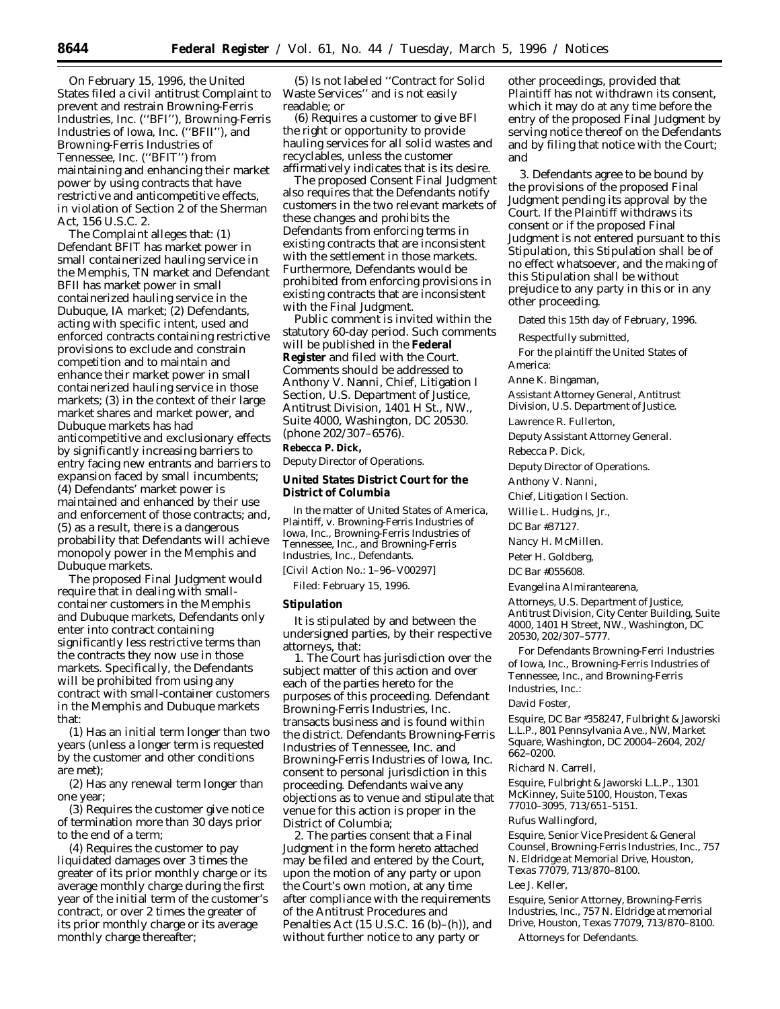On February 15, 1996, the United States filed a civil antitrust Complaint to prevent and restrain Browning-Ferris Industries, Inc. (''BFI''), Browning-Ferris Industries of Iowa, Inc. (''BFII''), and Browning-Ferris Industries of Tennessee, Inc. (''BFIT'') from maintaining and enhancing their market power by using contracts that have restrictive and anticompetitive effects, in violation of Section 2 of the Sherman Act, 156 U.S.C. 2.

The Complaint alleges that: (1) Defendant BFIT has market power in small containerized hauling service in the Memphis, TN market and Defendant BFII has market power in small containerized hauling service in the Dubuque, IA market; (2) Defendants, acting with specific intent, used and enforced contracts containing restrictive provisions to exclude and constrain competition and to maintain and enhance their market power in small containerized hauling service in those markets; (3) in the context of their large market shares and market power, and Dubuque markets has had anticompetitive and exclusionary effects by significantly increasing barriers to entry facing new entrants and barriers to expansion faced by small incumbents; (4) Defendants' market power is maintained and enhanced by their use and enforcement of those contracts; and, (5) as a result, there is a dangerous probability that Defendants will achieve monopoly power in the Memphis and Dubuque markets.

The proposed Final Judgment would require that in dealing with smallcontainer customers in the Memphis and Dubuque markets, Defendants only enter into contract containing significantly less restrictive terms than the contracts they now use in those markets. Specifically, the Defendants will be prohibited from using any contract with small-container customers in the Memphis and Dubuque markets that:

(1) Has an initial term longer than two years (unless a longer term is requested by the customer and other conditions are met);

(2) Has any renewal term longer than one year;

(3) Requires the customer give notice of termination more than 30 days prior to the end of a term;

(4) Requires the customer to pay liquidated damages over 3 times the greater of its prior monthly charge or its average monthly charge during the first year of the initial term of the customer's contract, or over 2 times the greater of its prior monthly charge or its average monthly charge thereafter;

(5) Is not labeled ''Contract for Solid Waste Services'' and is not easily readable; or

(6) Requires a customer to give BFI the right or opportunity to provide hauling services for all solid wastes and recyclables, unless the customer affirmatively indicates that is its desire.

The proposed Consent Final Judgment also requires that the Defendants notify customers in the two relevant markets of these changes and prohibits the Defendants from enforcing terms in existing contracts that are inconsistent with the settlement in those markets. Furthermore, Defendants would be prohibited from enforcing provisions in existing contracts that are inconsistent with the Final Judgment.

Public comment is invited within the statutory 60-day period. Such comments will be published in the **Federal Register** and filed with the Court. Comments should be addressed to Anthony V. Nanni, Chief, Litigation I Section, U.S. Department of Justice, Antitrust Division, 1401 H St., NW., Suite 4000, Washington, DC 20530. (phone 202/307–6576).

**Rebecca P. Dick,**

*Deputy Director of Operations.*

**United States District Court for the District of Columbia**

In the matter of *United States of America,* Plaintiff, v. *Browning-Ferris Industries of Iowa, Inc., Browning-Ferris Industries of Tennessee, Inc., and Browning-Ferris Industries, Inc.,* Defendants.

[Civil Action No.: 1–96–V00297]

Filed: February 15, 1996.

#### **Stipulation**

It is stipulated by and between the undersigned parties, by their respective attorneys, that:

1. The Court has jurisdiction over the subject matter of this action and over each of the parties hereto for the purposes of this proceeding. Defendant Browning-Ferris Industries, Inc. transacts business and is found within the district. Defendants Browning-Ferris Industries of Tennessee, Inc. and Browning-Ferris Industries of Iowa, Inc. consent to personal jurisdiction in this proceeding. Defendants waive any objections as to venue and stipulate that venue for this action is proper in the District of Columbia;

2. The parties consent that a Final Judgment in the form hereto attached may be filed and entered by the Court, upon the motion of any party or upon the Court's own motion, at any time after compliance with the requirements of the Antitrust Procedures and Penalties Act (15 U.S.C. 16 (b)–(h)), and without further notice to any party or

other proceedings, provided that Plaintiff has not withdrawn its consent, which it may do at any time before the entry of the proposed Final Judgment by serving notice thereof on the Defendants and by filing that notice with the Court; and

3. Defendants agree to be bound by the provisions of the proposed Final Judgment pending its approval by the Court. If the Plaintiff withdraws its consent or if the proposed Final Judgment is not entered pursuant to this Stipulation, this Stipulation shall be of no effect whatsoever, and the making of this Stipulation shall be without prejudice to any party in this or in any other proceeding.

Dated this 15th day of February, 1996.

Respectfully submitted,

For the plaintiff the United States of America:

Anne K. Bingaman,

*Assistant Attorney General, Antitrust Division, U.S. Department of Justice.*

Lawrence R. Fullerton,

*Deputy Assistant Attorney General.*

Rebecca P. Dick,

*Deputy Director of Operations.*

Anthony V. Nanni,

*Chief, Litigation I Section.*

Willie L. Hudgins, Jr.,

*DC Bar* #*37127.*

Nancy H. McMillen.

Peter H. Goldberg,

*DC Bar* #*055608.*

Evangelina Almirantearena,

*Attorneys, U.S. Department of Justice, Antitrust Division, City Center Building, Suite 4000, 1401 H Street, NW., Washington, DC 20530, 202/307–5777.*

For Defendants Browning-Ferri Industries of Iowa, Inc., Browning-Ferris Industries of Tennessee, Inc., and Browning-Ferris Industries, Inc.:

#### David Foster,

*Esquire, DC Bar* #*358247, Fulbright & Jaworski L.L.P., 801 Pennsylvania Ave., NW, Market Square, Washington, DC 20004–2604, 202/ 662–0200.*

#### Richard N. Carrell,

*Esquire, Fulbright & Jaworski L.L.P., 1301 McKinney, Suite 5100, Houston, Texas 77010–3095, 713/651–5151.*

## Rufus Wallingford,

*Esquire, Senior Vice President & General Counsel, Browning-Ferris Industries, Inc., 757 N. Eldridge at Memorial Drive, Houston, Texas 77079, 713/870–8100.*

### Lee J. Keller,

*Esquire, Senior Attorney, Browning-Ferris Industries, Inc., 757 N. Eldridge at memorial Drive, Houston, Texas 77079, 713/870–8100.*

Attorneys for Defendants.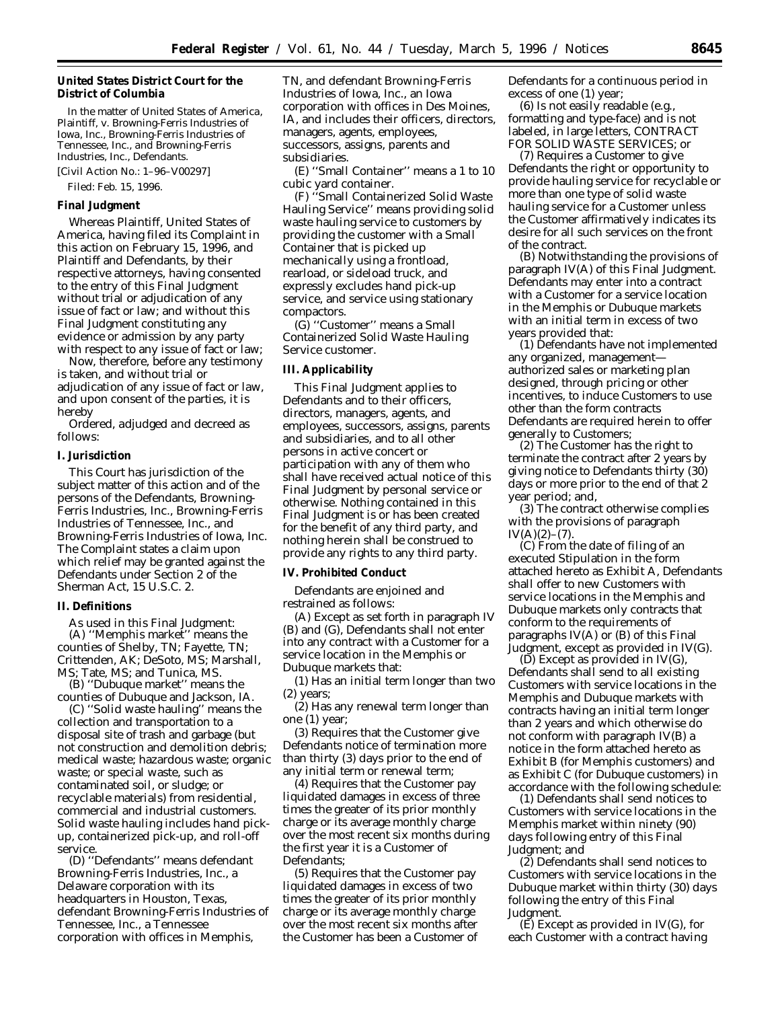## **United States District Court for the District of Columbia**

In the matter of *United States of America,* Plaintiff, v. *Browning-Ferris Industries of Iowa, Inc., Browning-Ferris Industries of Tennessee, Inc., and Browning-Ferris Industries, Inc.,* Defendants.

[Civil Action No.: 1–96–V00297]

# **Final Judgment**

Filed: Feb. 15, 1996.

*Whereas* Plaintiff, United States of America, having filed its Complaint in this action on February 15, 1996, and Plaintiff and Defendants, by their respective attorneys, having consented to the entry of this Final Judgment without trial or adjudication of any issue of fact or law; and without this Final Judgment constituting any evidence or admission by any party with respect to any issue of fact or law;

*Now, therefore,* before any testimony is taken, and without trial or adjudication of any issue of fact or law, and upon consent of the parties, it is hereby

*Ordered, adjudged and decreed* as follows:

#### **I. Jurisdiction**

This Court has jurisdiction of the subject matter of this action and of the persons of the Defendants, Browning-Ferris Industries, Inc., Browning-Ferris Industries of Tennessee, Inc., and Browning-Ferris Industries of Iowa, Inc. The Complaint states a claim upon which relief may be granted against the Defendants under Section 2 of the Sherman Act, 15 U.S.C. 2.

#### **II. Definitions**

As used in this Final Judgment:

(A) ''Memphis market'' means the counties of Shelby, TN; Fayette, TN; Crittenden, AK; DeSoto, MS; Marshall, MS; Tate, MS; and Tunica, MS.

(B) ''Dubuque market'' means the counties of Dubuque and Jackson, IA.

(C) ''Solid waste hauling'' means the collection and transportation to a disposal site of trash and garbage (but not construction and demolition debris; medical waste; hazardous waste; organic waste; or special waste, such as contaminated soil, or sludge; or recyclable materials) from residential, commercial and industrial customers. Solid waste hauling includes hand pickup, containerized pick-up, and roll-off service.

(D) ''Defendants'' means defendant Browning-Ferris Industries, Inc., a Delaware corporation with its headquarters in Houston, Texas, defendant Browning-Ferris Industries of Tennessee, Inc., a Tennessee corporation with offices in Memphis,

TN, and defendant Browning-Ferris Industries of Iowa, Inc., an Iowa corporation with offices in Des Moines, IA, and includes their officers, directors, managers, agents, employees, successors, assigns, parents and subsidiaries.

(E) ''Small Container'' means a 1 to 10 cubic yard container.

(F) ''Small Containerized Solid Waste Hauling Service'' means providing solid waste hauling service to customers by providing the customer with a Small Container that is picked up mechanically using a frontload, rearload, or sideload truck, and expressly excludes hand pick-up service, and service using stationary compactors.

(G) ''Customer'' means a Small Containerized Solid Waste Hauling Service customer.

## **III. Applicability**

This Final Judgment applies to Defendants and to their officers, directors, managers, agents, and employees, successors, assigns, parents and subsidiaries, and to all other persons in active concert or participation with any of them who shall have received actual notice of this Final Judgment by personal service or otherwise. Nothing contained in this Final Judgment is or has been created for the benefit of any third party, and nothing herein shall be construed to provide any rights to any third party.

### **IV. Prohibited Conduct**

Defendants are enjoined and restrained as follows:

(A) Except as set forth in paragraph IV (B) and (G), Defendants shall not enter into any contract with a Customer for a service location in the Memphis or Dubuque markets that:

(1) Has an initial term longer than two (2) years;

(2) Has any renewal term longer than one (1) year;

(3) Requires that the Customer give Defendants notice of termination more than thirty (3) days prior to the end of any initial term or renewal term;

(4) Requires that the Customer pay liquidated damages in excess of three times the greater of its prior monthly charge or its average monthly charge over the most recent six months during the first year it is a Customer of Defendants;

(5) Requires that the Customer pay liquidated damages in excess of two times the greater of its prior monthly charge or its average monthly charge over the most recent six months after the Customer has been a Customer of Defendants for a continuous period in excess of one (1) year;

(6) Is not easily readable (e.g., formatting and type-face) and is not labeled, in large letters, CONTRACT FOR SOLID WASTE SERVICES; or

(7) Requires a Customer to give Defendants the right or opportunity to provide hauling service for recyclable or more than one type of solid waste hauling service for a Customer unless the Customer affirmatively indicates its desire for all such services on the front of the contract.

(B) Notwithstanding the provisions of paragraph IV(A) of this Final Judgment. Defendants may enter into a contract with a Customer for a service location in the Memphis or Dubuque markets with an initial term in excess of two years provided that:

(1) Defendants have not implemented any organized, management authorized sales or marketing plan designed, through pricing or other incentives, to induce Customers to use other than the form contracts Defendants are required herein to offer generally to Customers;

(2) The Customer has the right to terminate the contract after 2 years by giving notice to Defendants thirty (30) days or more prior to the end of that 2 year period; and,

(3) The contract otherwise complies with the provisions of paragraph  $IV(A)(2)–(7)$ .

(C) From the date of filing of an executed Stipulation in the form attached hereto as Exhibit A, Defendants shall offer to new Customers with service locations in the Memphis and Dubuque markets only contracts that conform to the requirements of paragraphs IV(A) or (B) of this Final Judgment, except as provided in IV(G).

(D) Except as provided in IV(G), Defendants shall send to all existing Customers with service locations in the Memphis and Dubuque markets with contracts having an initial term longer than 2 years and which otherwise do not conform with paragraph IV(B) a notice in the form attached hereto as Exhibit B (for Memphis customers) and as Exhibit C (for Dubuque customers) in accordance with the following schedule:

(1) Defendants shall send notices to Customers with service locations in the Memphis market within ninety (90) days following entry of this Final Judgment; and

(2) Defendants shall send notices to Customers with service locations in the Dubuque market within thirty (30) days following the entry of this Final Judgment.

 $(E)$  Except as provided in IV $(G)$ , for each Customer with a contract having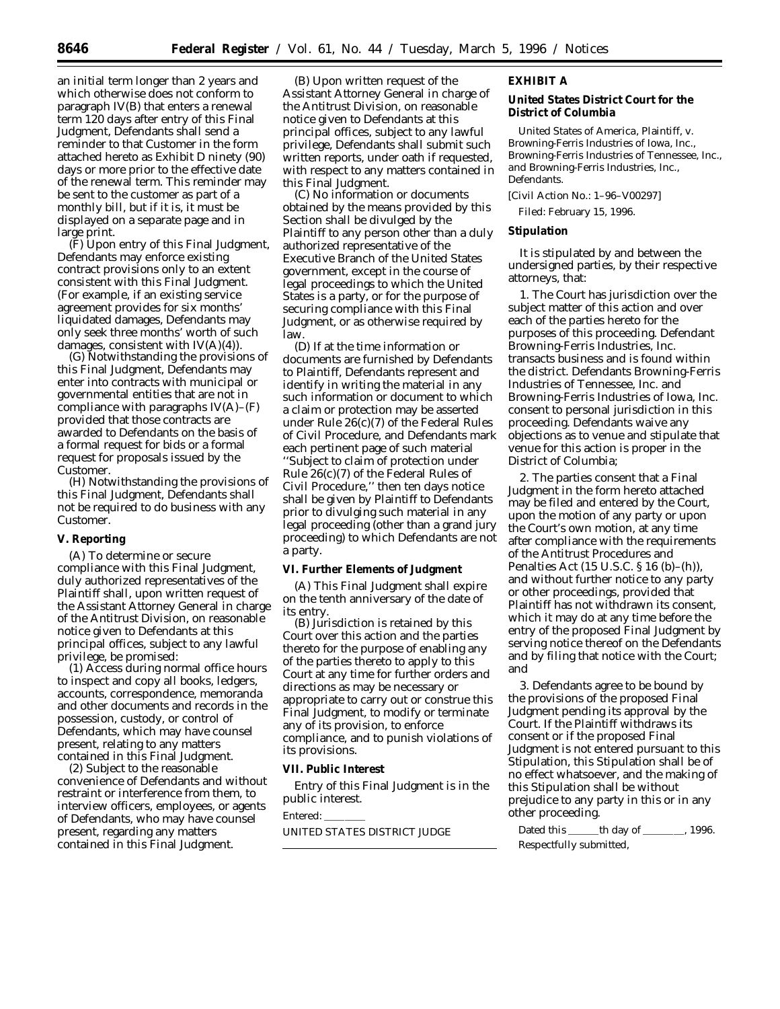an initial term longer than 2 years and which otherwise does not conform to paragraph IV(B) that enters a renewal term 120 days after entry of this Final Judgment, Defendants shall send a reminder to that Customer in the form attached hereto as Exhibit D ninety (90) days or more prior to the effective date of the renewal term. This reminder may be sent to the customer as part of a monthly bill, but if it is, it must be displayed on a separate page and in large print.

(F) Upon entry of this Final Judgment, Defendants may enforce existing contract provisions only to an extent consistent with this Final Judgment. (For example, if an existing service agreement provides for six months' liquidated damages, Defendants may only seek three months' worth of such damages, consistent with  $IV(A)(4)$ .

(G) Notwithstanding the provisions of this Final Judgment, Defendants may enter into contracts with municipal or governmental entities that are not in compliance with paragraphs  $IV(A)$ – $(F)$ provided that those contracts are awarded to Defendants on the basis of a formal request for bids or a formal request for proposals issued by the Customer.

(H) Notwithstanding the provisions of this Final Judgment, Defendants shall not be required to do business with any Customer.

### **V. Reporting**

(A) To determine or secure compliance with this Final Judgment, duly authorized representatives of the Plaintiff shall, upon written request of the Assistant Attorney General in charge of the Antitrust Division, on reasonable notice given to Defendants at this principal offices, subject to any lawful privilege, be promised:

(1) Access during normal office hours to inspect and copy all books, ledgers, accounts, correspondence, memoranda and other documents and records in the possession, custody, or control of Defendants, which may have counsel present, relating to any matters contained in this Final Judgment.

(2) Subject to the reasonable convenience of Defendants and without restraint or interference from them, to interview officers, employees, or agents of Defendants, who may have counsel present, regarding any matters contained in this Final Judgment.

(B) Upon written request of the Assistant Attorney General in charge of the Antitrust Division, on reasonable notice given to Defendants at this principal offices, subject to any lawful privilege, Defendants shall submit such written reports, under oath if requested, with respect to any matters contained in this Final Judgment.

(C) No information or documents obtained by the means provided by this Section shall be divulged by the Plaintiff to any person other than a duly authorized representative of the Executive Branch of the United States government, except in the course of legal proceedings to which the United States is a party, or for the purpose of securing compliance with this Final Judgment, or as otherwise required by law.

(D) If at the time information or documents are furnished by Defendants to Plaintiff, Defendants represent and identify in writing the material in any such information or document to which a claim or protection may be asserted under Rule 26(c)(7) of the Federal Rules of Civil Procedure, and Defendants mark each pertinent page of such material ''Subject to claim of protection under Rule 26(c)(7) of the Federal Rules of Civil Procedure,'' then ten days notice shall be given by Plaintiff to Defendants prior to divulging such material in any legal proceeding (other than a grand jury proceeding) to which Defendants are not a party.

#### **VI. Further Elements of Judgment**

(A) This Final Judgment shall expire on the tenth anniversary of the date of its entry.

(B) Jurisdiction is retained by this Court over this action and the parties thereto for the purpose of enabling any of the parties thereto to apply to this Court at any time for further orders and directions as may be necessary or appropriate to carry out or construe this Final Judgment, to modify or terminate any of its provision, to enforce compliance, and to punish violations of its provisions.

### **VII. Public Interest**

Entry of this Final Judgment is in the public interest.

Entered:

UNITED STATES DISTRICT JUDGE

### **EXHIBIT A**

**United States District Court for the District of Columbia**

*United States of America,* Plaintiff, v. *Browning-Ferris Industries of Iowa, Inc., Browning-Ferris Industries of Tennessee, Inc., and Browning-Ferris Industries, Inc.,* Defendants.

[Civil Action No.: 1–96–V00297]

Filed: February 15, 1996.

### **Stipulation**

It is stipulated by and between the undersigned parties, by their respective attorneys, that:

1. The Court has jurisdiction over the subject matter of this action and over each of the parties hereto for the purposes of this proceeding. Defendant Browning-Ferris Industries, Inc. transacts business and is found within the district. Defendants Browning-Ferris Industries of Tennessee, Inc. and Browning-Ferris Industries of Iowa, Inc. consent to personal jurisdiction in this proceeding. Defendants waive any objections as to venue and stipulate that venue for this action is proper in the District of Columbia;

2. The parties consent that a Final Judgment in the form hereto attached may be filed and entered by the Court, upon the motion of any party or upon the Court's own motion, at any time after compliance with the requirements of the Antitrust Procedures and Penalties Act (15 U.S.C. § 16 (b)–(h)), and without further notice to any party or other proceedings, provided that Plaintiff has not withdrawn its consent, which it may do at any time before the entry of the proposed Final Judgment by serving notice thereof on the Defendants and by filing that notice with the Court; and

3. Defendants agree to be bound by the provisions of the proposed Final Judgment pending its approval by the Court. If the Plaintiff withdraws its consent or if the proposed Final Judgment is not entered pursuant to this Stipulation, this Stipulation shall be of no effect whatsoever, and the making of this Stipulation shall be without prejudice to any party in this or in any other proceeding.

Dated this \_\_\_\_\_\_th day of \_\_\_\_\_\_\_\_, 1996. Respectfully submitted,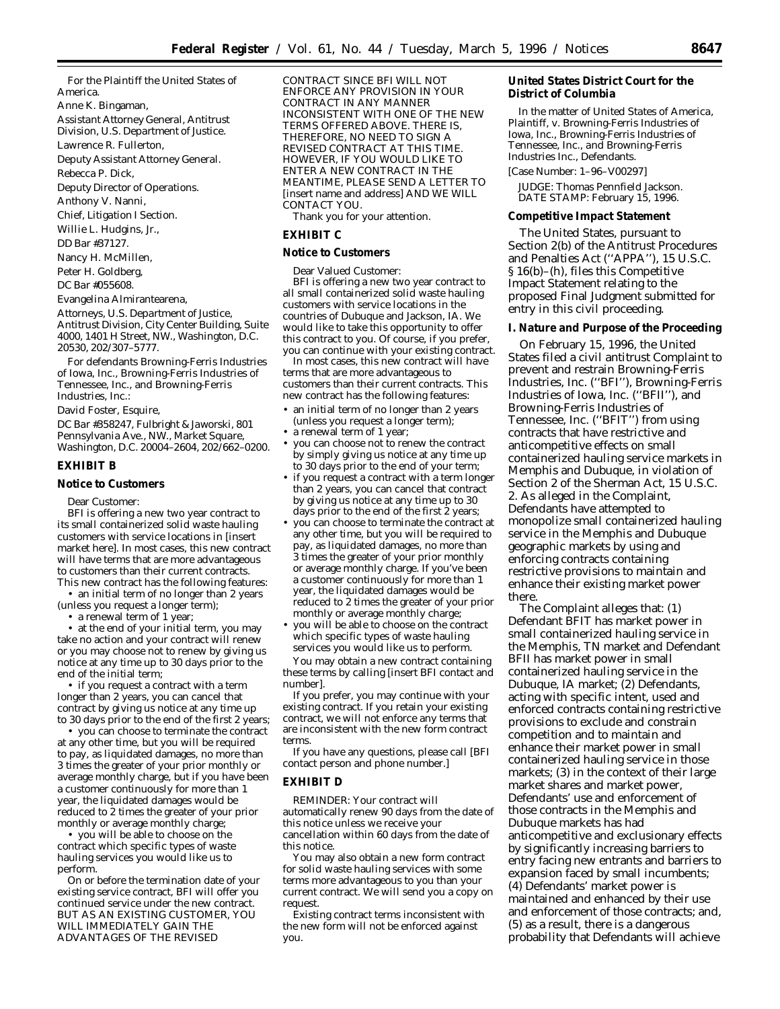For the Plaintiff the United States of America.

Anne K. Bingaman,

*Assistant Attorney General, Antitrust*

*Division, U.S. Department of Justice.*

Lawrence R. Fullerton,

*Deputy Assistant Attorney General.*

Rebecca P. Dick,

*Deputy Director of Operations.*

Anthony V. Nanni,

*Chief, Litigation I Section.*

Willie L. Hudgins, Jr.,

*DD Bar* #*37127.*

Nancy H. McMillen,

Peter H. Goldberg,

*DC Bar* #*055608.*

Evangelina Almirantearena,

*Attorneys, U.S. Department of Justice, Antitrust Division, City Center Building, Suite 4000, 1401 H Street, NW., Washington, D.C. 20530, 202/307–5777.*

For defendants Browning-Ferris Industries of Iowa, Inc., Browning-Ferris Industries of Tennessee, Inc., and Browning-Ferris Industries, Inc.:

David Foster, Esquire,

*DC Bar* #*358247, Fulbright & Jaworski, 801 Pennsylvania Ave., NW., Market Square, Washington, D.C. 20004–2604, 202/662–0200.*

### **EXHIBIT B**

### **Notice to Customers**

Dear Customer:

BFI is offering a new two year contract to its small containerized solid waste hauling customers with service locations in [insert market here]. In most cases, this new contract will have terms that are more advantageous to customers than their current contracts. This new contract has the following features:

• an initial term of no longer than 2 years (unless you request a longer term);

• a renewal term of 1 year;

• at the end of your initial term, you may take no action and your contract will renew *or* you may choose not to renew by giving us notice at any time up to 30 days prior to the end of the initial term;

• if you request a contract with a term longer than 2 years, you can cancel that contract by giving us notice at any time up to 30 days prior to the end of the first 2 years;

• you can choose to terminate the contract at any other time, but you will be required to pay, as liquidated damages, no more than 3 times the greater of your prior monthly or average monthly charge, but if you have been a customer continuously for more than 1 year, the liquidated damages would be reduced to 2 times the greater of your prior monthly or average monthly charge;

• you will be able to choose on the contract which specific types of waste hauling services you would like us to perform.

On or before the termination date of your existing service contract, BFI will offer you continued service under the new contract. BUT AS AN EXISTING CUSTOMER, YOU WILL IMMEDIATELY GAIN THE ADVANTAGES OF THE REVISED

CONTRACT SINCE BFI WILL NOT ENFORCE ANY PROVISION IN YOUR CONTRACT IN ANY MANNER INCONSISTENT WITH ONE OF THE NEW TERMS OFFERED ABOVE. THERE IS, THEREFORE, NO NEED TO SIGN A REVISED CONTRACT AT THIS TIME. HOWEVER, IF YOU WOULD LIKE TO ENTER A NEW CONTRACT IN THE MEANTIME, PLEASE SEND A LETTER TO [insert name and address] AND WE WILL CONTACT YOU.

Thank you for your attention.

## **EXHIBIT C**

**Notice to Customers**

Dear Valued Customer: BFI is offering a new two year contract to all small containerized solid waste hauling customers with service locations in the countries of Dubuque and Jackson, IA. We would like to take this opportunity to offer this contract to you. Of course, if you prefer, you can continue with your existing contract.

In most cases, this new contract will have terms that are more advantageous to customers than their current contracts. This new contract has the following features:

- an initial term of no longer than 2 years (unless you request a longer term);
- a renewal term of 1 year;
- you can choose not to renew the contract by simply giving us notice at any time up to 30 days prior to the end of your term;
- if you request a contract with a term longer than 2 years, you can cancel that contract by giving us notice at any time up to 30 days prior to the end of the first 2 years;
- you can choose to terminate the contract at any other time, but you will be required to pay, as liquidated damages, no more than 3 times the greater of your prior monthly or average monthly charge. If you've been a customer continuously for more than 1 year, the liquidated damages would be reduced to 2 times the greater of your prior monthly or average monthly charge;
- you will be able to choose on the contract which specific types of waste hauling services you would like us to perform.

You may obtain a new contract containing these terms by calling [insert BFI contact and number].

If you prefer, you may continue with your existing contract. If you retain your existing contract, we will not enforce any terms that are inconsistent with the new form contract terms.

If you have any questions, please call [BFI contact person and phone number.]

## **EXHIBIT D**

REMINDER: Your contract will automatically renew 90 days from the date of this notice unless we receive your cancellation within 60 days from the date of this notice.

You may also obtain a new form contract for solid waste hauling services with some terms more advantageous to you than your current contract. We will send you a copy on request.

Existing contract terms inconsistent with the new form will not be enforced against you.

**United States District Court for the District of Columbia**

In the matter of *United States of America,* Plaintiff, v. *Browning-Ferris Industries of Iowa, Inc., Browning-Ferris Industries of Tennessee, Inc., and Browning-Ferris Industries Inc.,* Defendants.

[Case Number: 1–96–V00297]

JUDGE: Thomas Pennfield Jackson. DATE STAMP: February 15, 1996.

#### **Competitive Impact Statement**

The United States, pursuant to Section 2(b) of the Antitrust Procedures and Penalties Act (''APPA''), 15 U.S.C. § 16(b)–(h), files this Competitive Impact Statement relating to the proposed Final Judgment submitted for entry in this civil proceeding.

**I. Nature and Purpose of the Proceeding**

On February 15, 1996, the United States filed a civil antitrust Complaint to prevent and restrain Browning-Ferris Industries, Inc. (''BFI''), Browning-Ferris Industries of Iowa, Inc. (''BFII''), and Browning-Ferris Industries of Tennessee, Inc. (''BFIT'') from using contracts that have restrictive and anticompetitive effects on small containerized hauling service markets in Memphis and Dubuque, in violation of Section 2 of the Sherman Act, 15 U.S.C. 2. As alleged in the Complaint, Defendants have attempted to monopolize small containerized hauling service in the Memphis and Dubuque geographic markets by using and enforcing contracts containing restrictive provisions to maintain and enhance their existing market power there.

The Complaint alleges that: (1) Defendant BFIT has market power in small containerized hauling service in the Memphis, TN market and Defendant BFII has market power in small containerized hauling service in the Dubuque, IA market; (2) Defendants, acting with specific intent, used and enforced contracts containing restrictive provisions to exclude and constrain competition and to maintain and enhance their market power in small containerized hauling service in those markets; (3) in the context of their large market shares and market power, Defendants' use and enforcement of those contracts in the Memphis and Dubuque markets has had anticompetitive and exclusionary effects by significantly increasing barriers to entry facing new entrants and barriers to expansion faced by small incumbents; (4) Defendants' market power is maintained and enhanced by their use and enforcement of those contracts; and, (5) as a result, there is a dangerous probability that Defendants will achieve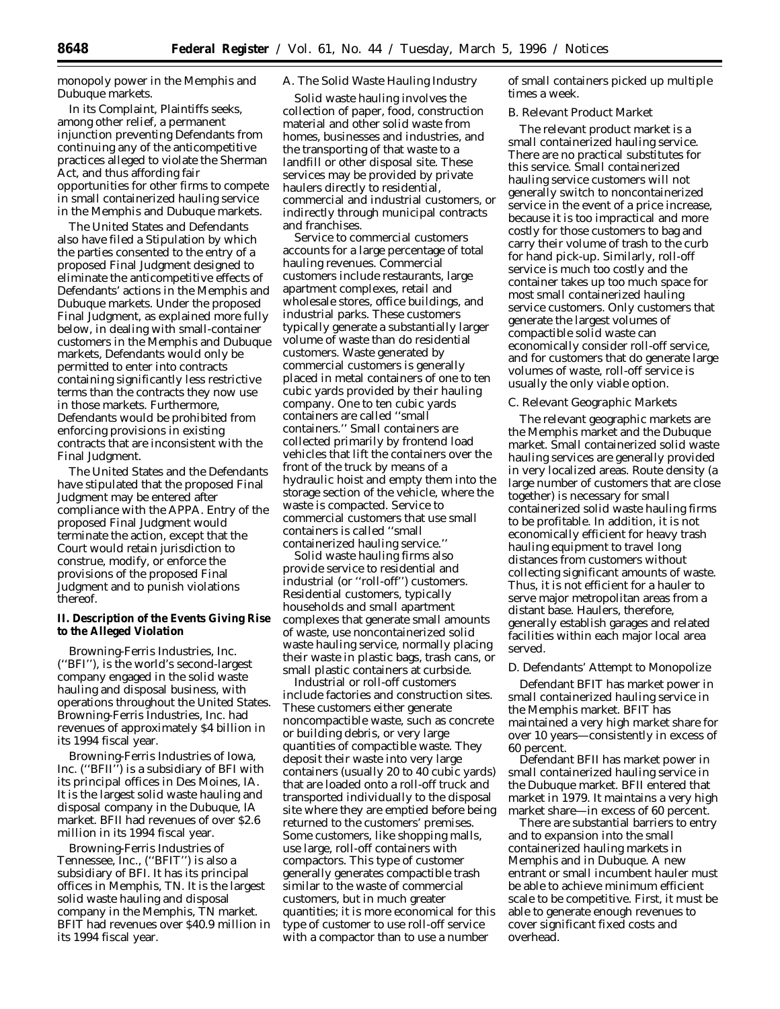monopoly power in the Memphis and Dubuque markets.

In its Complaint, Plaintiffs seeks, among other relief, a permanent injunction preventing Defendants from continuing any of the anticompetitive practices alleged to violate the Sherman Act, and thus affording fair opportunities for other firms to compete in small containerized hauling service in the Memphis and Dubuque markets.

The United States and Defendants also have filed a Stipulation by which the parties consented to the entry of a proposed Final Judgment designed to eliminate the anticompetitive effects of Defendants' actions in the Memphis and Dubuque markets. Under the proposed Final Judgment, as explained more fully below, in dealing with small-container customers in the Memphis and Dubuque markets, Defendants would only be permitted to enter into contracts containing significantly less restrictive terms than the contracts they now use in those markets. Furthermore, Defendants would be prohibited from enforcing provisions in existing contracts that are inconsistent with the Final Judgment.

The United States and the Defendants have stipulated that the proposed Final Judgment may be entered after compliance with the APPA. Entry of the proposed Final Judgment would terminate the action, except that the Court would retain jurisdiction to construe, modify, or enforce the provisions of the proposed Final Judgment and to punish violations thereof.

**II. Description of the Events Giving Rise to the Alleged Violation**

Browning-Ferris Industries, Inc. (''BFI''), is the world's second-largest company engaged in the solid waste hauling and disposal business, with operations throughout the United States. Browning-Ferris Industries, Inc. had revenues of approximately \$4 billion in its 1994 fiscal year.

Browning-Ferris Industries of Iowa, Inc. (''BFII'') is a subsidiary of BFI with its principal offices in Des Moines, IA. It is the largest solid waste hauling and disposal company in the Dubuque, IA market. BFII had revenues of over \$2.6 million in its 1994 fiscal year.

Browning-Ferris Industries of Tennessee, Inc., (''BFIT'') is also a subsidiary of BFI. It has its principal offices in Memphis, TN. It is the largest solid waste hauling and disposal company in the Memphis, TN market. BFIT had revenues over \$40.9 million in its 1994 fiscal year.

# *A. The Solid Waste Hauling Industry*

Solid waste hauling involves the collection of paper, food, construction material and other solid waste from homes, businesses and industries, and the transporting of that waste to a landfill or other disposal site. These services may be provided by private haulers directly to residential, commercial and industrial customers, or indirectly through municipal contracts and franchises.

Service to commercial customers accounts for a large percentage of total hauling revenues. Commercial customers include restaurants, large apartment complexes, retail and wholesale stores, office buildings, and industrial parks. These customers typically generate a substantially larger volume of waste than do residential customers. Waste generated by commercial customers is generally placed in metal containers of one to ten cubic yards provided by their hauling company. One to ten cubic yards containers are called ''small containers.'' Small containers are collected primarily by frontend load vehicles that lift the containers over the front of the truck by means of a hydraulic hoist and empty them into the storage section of the vehicle, where the waste is compacted. Service to commercial customers that use small containers is called ''small containerized hauling service.''

Solid waste hauling firms also provide service to residential and industrial (or ''roll-off'') customers. Residential customers, typically households and small apartment complexes that generate small amounts of waste, use noncontainerized solid waste hauling service, normally placing their waste in plastic bags, trash cans, or small plastic containers at curbside.

Industrial or roll-off customers include factories and construction sites. These customers either generate noncompactible waste, such as concrete or building debris, or very large quantities of compactible waste. They deposit their waste into very large containers (usually 20 to 40 cubic yards) that are loaded onto a roll-off truck and transported individually to the disposal site where they are emptied before being returned to the customers' premises. Some customers, like shopping malls, use large, roll-off containers with compactors. This type of customer generally generates compactible trash similar to the waste of commercial customers, but in much greater quantities; it is more economical for this type of customer to use roll-off service with a compactor than to use a number

of small containers picked up multiple times a week.

# *B. Relevant Product Market*

The relevant product market is a small containerized hauling service. There are no practical substitutes for this service. Small containerized hauling service customers will not generally switch to noncontainerized service in the event of a price increase, because it is too impractical and more costly for those customers to bag and carry their volume of trash to the curb for hand pick-up. Similarly, roll-off service is much too costly and the container takes up too much space for most small containerized hauling service customers. Only customers that generate the largest volumes of compactible solid waste can economically consider roll-off service, and for customers that do generate large volumes of waste, roll-off service is usually the only viable option.

### *C. Relevant Geographic Markets*

The relevant geographic markets are the Memphis market and the Dubuque market. Small containerized solid waste hauling services are generally provided in very localized areas. Route density (a large number of customers that are close together) is necessary for small containerized solid waste hauling firms to be profitable. In addition, it is not economically efficient for heavy trash hauling equipment to travel long distances from customers without collecting significant amounts of waste. Thus, it is not efficient for a hauler to serve major metropolitan areas from a distant base. Haulers, therefore, generally establish garages and related facilities within each major local area served.

#### *D. Defendants' Attempt to Monopolize*

Defendant BFIT has market power in small containerized hauling service in the Memphis market. BFIT has maintained a very high market share for over 10 years—consistently in excess of 60 percent.

Defendant BFII has market power in small containerized hauling service in the Dubuque market. BFII entered that market in 1979. It maintains a very high market share—in excess of 60 percent.

There are substantial barriers to entry and to expansion into the small containerized hauling markets in Memphis and in Dubuque. A new entrant or small incumbent hauler must be able to achieve minimum efficient scale to be competitive. First, it must be able to generate enough revenues to cover significant fixed costs and overhead.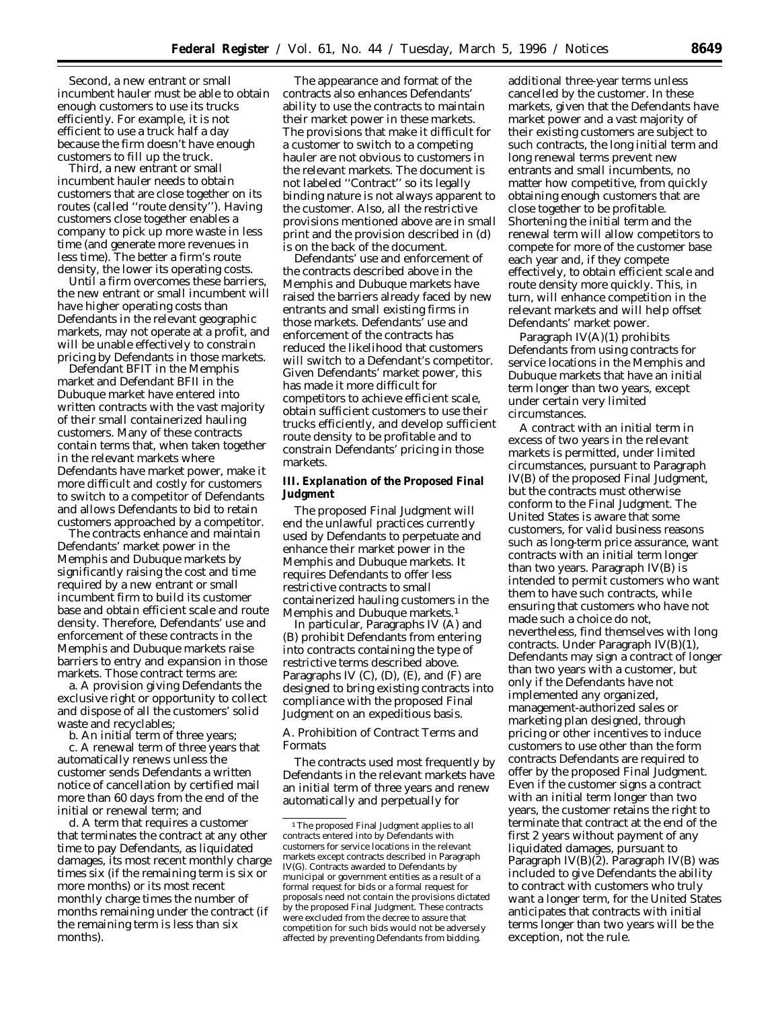Second, a new entrant or small incumbent hauler must be able to obtain enough customers to use its trucks efficiently. For example, it is not efficient to use a truck half a day because the firm doesn't have enough customers to fill up the truck.

Third, a new entrant or small incumbent hauler needs to obtain customers that are close together on its routes (called ''route density''). Having customers close together enables a company to pick up more waste in less time (and generate more revenues in less time). The better a firm's route density, the lower its operating costs.

Until a firm overcomes these barriers, the new entrant or small incumbent will have higher operating costs than Defendants in the relevant geographic markets, may not operate at a profit, and will be unable effectively to constrain pricing by Defendants in those markets.

Defendant BFIT in the Memphis market and Defendant BFII in the Dubuque market have entered into written contracts with the vast majority of their small containerized hauling customers. Many of these contracts contain terms that, when taken together in the relevant markets where Defendants have market power, make it more difficult and costly for customers to switch to a competitor of Defendants and allows Defendants to bid to retain customers approached by a competitor.

The contracts enhance and maintain Defendants' market power in the Memphis and Dubuque markets by significantly raising the cost and time required by a new entrant or small incumbent firm to build its customer base and obtain efficient scale and route density. Therefore, Defendants' use and enforcement of these contracts in the Memphis and Dubuque markets raise barriers to entry and expansion in those markets. Those contract terms are:

a. A provision giving Defendants the exclusive right or opportunity to collect and dispose of all the customers' solid waste and recyclables;

b. An initial term of three years;

c. A renewal term of three years that automatically renews unless the customer sends Defendants a written notice of cancellation by certified mail more than 60 days from the end of the initial or renewal term; and

d. A term that requires a customer that terminates the contract at any other time to pay Defendants, as liquidated damages, its most recent monthly charge times six (if the remaining term is six or more months) or its most recent monthly charge times the number of months remaining under the contract (if the remaining term is less than six months).

The appearance and format of the contracts also enhances Defendants' ability to use the contracts to maintain their market power in these markets. The provisions that make it difficult for a customer to switch to a competing hauler are not obvious to customers in the relevant markets. The document is not labeled ''Contract'' so its legally binding nature is not always apparent to the customer. Also, all the restrictive provisions mentioned above are in small print and the provision described in (d) is on the back of the document.

Defendants' use and enforcement of the contracts described above in the Memphis and Dubuque markets have raised the barriers already faced by new entrants and small existing firms in those markets. Defendants' use and enforcement of the contracts has reduced the likelihood that customers will switch to a Defendant's competitor. Given Defendants' market power, this has made it more difficult for competitors to achieve efficient scale, obtain sufficient customers to use their trucks efficiently, and develop sufficient route density to be profitable and to constrain Defendants' pricing in those markets.

**III. Explanation of the Proposed Final Judgment**

The proposed Final Judgment will end the unlawful practices currently used by Defendants to perpetuate and enhance their market power in the Memphis and Dubuque markets. It requires Defendants to offer less restrictive contracts to small containerized hauling customers in the Memphis and Dubuque markets.<sup>1</sup>

In particular, Paragraphs IV (A) and (B) prohibit Defendants from entering into contracts containing the type of restrictive terms described above. Paragraphs IV (C), (D), (E), and (F) are designed to bring existing contracts into compliance with the proposed Final Judgment on an expeditious basis.

## *A. Prohibition of Contract Terms and Formats*

The contracts used most frequently by Defendants in the relevant markets have an initial term of three years and renew automatically and perpetually for

additional three-year terms unless cancelled by the customer. In these markets, given that the Defendants have market power and a vast majority of their existing customers are subject to such contracts, the long initial term and long renewal terms prevent new entrants and small incumbents, no matter how competitive, from quickly obtaining enough customers that are close together to be profitable. Shortening the initial term and the renewal term will allow competitors to compete for more of the customer base each year and, if they compete effectively, to obtain efficient scale and route density more quickly. This, in turn, will enhance competition in the relevant markets and will help offset Defendants' market power.

Paragraph IV(A)(1) prohibits Defendants from using contracts for service locations in the Memphis and Dubuque markets that have an initial term longer than two years, except under certain very limited circumstances.

A contract with an initial term in excess of two years in the relevant markets is permitted, under limited circumstances, pursuant to Paragraph IV(B) of the proposed Final Judgment, but the contracts must otherwise conform to the Final Judgment. The United States is aware that some customers, for valid business reasons such as long-term price assurance, want contracts with an initial term longer than two years. Paragraph IV(B) is intended to permit customers who want them to have such contracts, while ensuring that customers who have not made such a choice do not, nevertheless, find themselves with long contracts. Under Paragraph IV(B)(1), Defendants may sign a contract of longer than two years with a customer, but only if the Defendants have not implemented any organized, management-authorized sales or marketing plan designed, through pricing or other incentives to induce customers to use other than the form contracts Defendants are required to offer by the proposed Final Judgment. Even if the customer signs a contract with an initial term longer than two years, the customer retains the right to terminate that contract at the end of the first 2 years without payment of any liquidated damages, pursuant to Paragraph IV(B)(2). Paragraph IV(B) was included to give Defendants the ability to contract with customers who truly want a longer term, for the United States anticipates that contracts with initial terms longer than two years will be the exception, not the rule.

<sup>&</sup>lt;sup>1</sup>The proposed Final Judgment applies to all contracts entered into by Defendants with customers for service locations in the relevant markets except contracts described in Paragraph IV(G). Contracts awarded to Defendants by municipal or government entities as a result of a formal request for bids or a formal request for proposals need not contain the provisions dictated by the proposed Final Judgment. These contracts were excluded from the decree to assure that competition for such bids would not be adversely affected by preventing Defendants from bidding.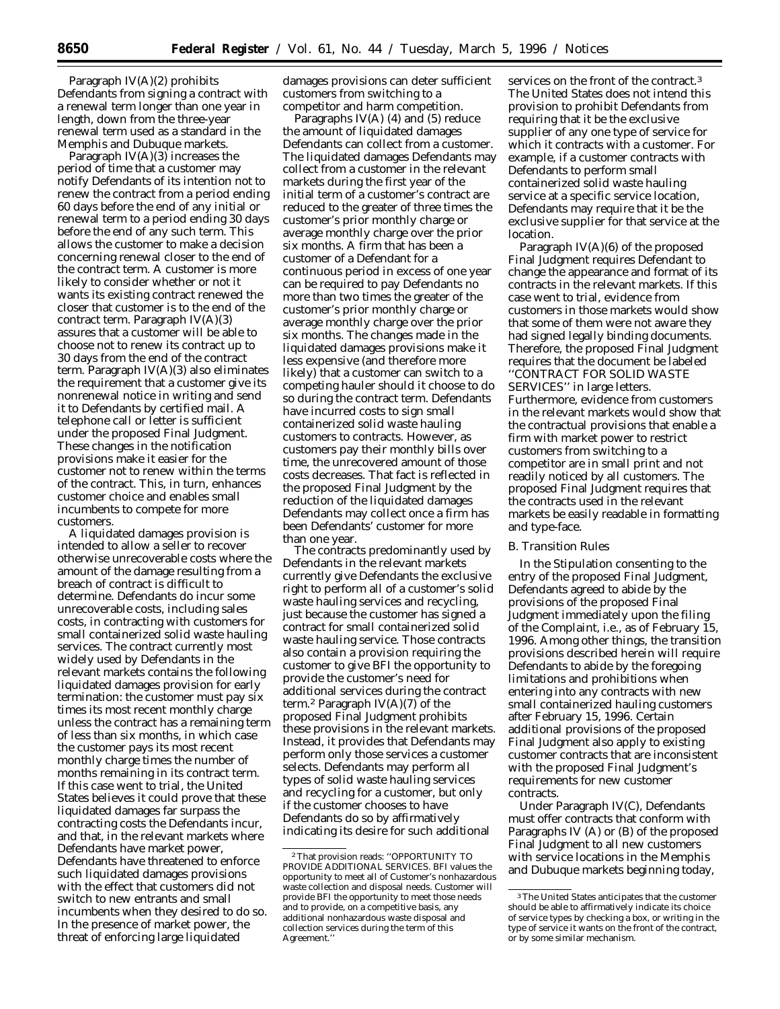Paragraph IV(A)(2) prohibits Defendants from signing a contract with a renewal term longer than one year in length, down from the three-year renewal term used as a standard in the Memphis and Dubuque markets.

Paragraph IV(A)(3) increases the period of time that a customer may notify Defendants of its intention not to renew the contract from a period ending 60 days before the end of any initial or renewal term to a period ending 30 days before the end of any such term. This allows the customer to make a decision concerning renewal closer to the end of the contract term. A customer is more likely to consider whether or not it wants its existing contract renewed the closer that customer is to the end of the contract term. Paragraph IV(A)(3) assures that a customer will be able to choose not to renew its contract up to 30 days from the end of the contract term. Paragraph IV(A)(3) also eliminates the requirement that a customer give its nonrenewal notice in writing and send it to Defendants by certified mail. A telephone call or letter is sufficient under the proposed Final Judgment. These changes in the notification provisions make it easier for the customer not to renew within the terms of the contract. This, in turn, enhances customer choice and enables small incumbents to compete for more customers.

A liquidated damages provision is intended to allow a seller to recover otherwise unrecoverable costs where the amount of the damage resulting from a breach of contract is difficult to determine. Defendants do incur some unrecoverable costs, including sales costs, in contracting with customers for small containerized solid waste hauling services. The contract currently most widely used by Defendants in the relevant markets contains the following liquidated damages provision for early termination: the customer must pay six times its most recent monthly charge unless the contract has a remaining term of less than six months, in which case the customer pays its most recent monthly charge times the number of months remaining in its contract term. If this case went to trial, the United States believes it could prove that these liquidated damages far surpass the contracting costs the Defendants incur, and that, in the relevant markets where Defendants have market power, Defendants have threatened to enforce such liquidated damages provisions with the effect that customers did not switch to new entrants and small incumbents when they desired to do so. In the presence of market power, the threat of enforcing large liquidated

damages provisions can deter sufficient customers from switching to a competitor and harm competition.

Paragraphs IV(A) (4) and (5) reduce the amount of liquidated damages Defendants can collect from a customer. The liquidated damages Defendants may collect from a customer in the relevant markets during the first year of the initial term of a customer's contract are reduced to the greater of three times the customer's prior monthly charge or average monthly charge over the prior six months. A firm that has been a customer of a Defendant for a continuous period in excess of one year can be required to pay Defendants no more than two times the greater of the customer's prior monthly charge or average monthly charge over the prior six months. The changes made in the liquidated damages provisions make it less expensive (and therefore more likely) that a customer can switch to a competing hauler should it choose to do so during the contract term. Defendants have incurred costs to sign small containerized solid waste hauling customers to contracts. However, as customers pay their monthly bills over time, the unrecovered amount of those costs decreases. That fact is reflected in the proposed Final Judgment by the reduction of the liquidated damages Defendants may collect once a firm has been Defendants' customer for more than one year.

The contracts predominantly used by Defendants in the relevant markets currently give Defendants the exclusive right to perform all of a customer's solid waste hauling services and recycling, just because the customer has signed a contract for small containerized solid waste hauling service. Those contracts also contain a provision requiring the customer to give BFI the opportunity to provide the customer's need for additional services during the contract term.2 Paragraph IV(A)(7) of the proposed Final Judgment prohibits these provisions in the relevant markets. Instead, it provides that Defendants may perform only those services a customer selects. Defendants may perform all types of solid waste hauling services and recycling for a customer, but only if the customer chooses to have Defendants do so by affirmatively indicating its desire for such additional

services on the front of the contract.3 The United States does not intend this provision to prohibit Defendants from requiring that it be the exclusive supplier of any one type of service for which it contracts with a customer. For example, if a customer contracts with Defendants to perform small containerized solid waste hauling service at a specific service location, Defendants may require that it be the exclusive supplier for that service at the location.

Paragraph IV(A)(6) of the proposed Final Judgment requires Defendant to change the appearance and format of its contracts in the relevant markets. If this case went to trial, evidence from customers in those markets would show that some of them were not aware they had signed legally binding documents. Therefore, the proposed Final Judgment requires that the document be labeled ''CONTRACT FOR SOLID WASTE SERVICES'' in large letters. Furthermore, evidence from customers in the relevant markets would show that the contractual provisions that enable a firm with market power to restrict customers from switching to a competitor are in small print and not readily noticed by all customers. The proposed Final Judgment requires that the contracts used in the relevant markets be easily readable in formatting and type-face.

# *B. Transition Rules*

In the Stipulation consenting to the entry of the proposed Final Judgment, Defendants agreed to abide by the provisions of the proposed Final Judgment immediately upon the filing of the Complaint, *i.e.,* as of February 15, 1996. Among other things, the transition provisions described herein will require Defendants to abide by the foregoing limitations and prohibitions when entering into any contracts with new small containerized hauling customers after February 15, 1996. Certain additional provisions of the proposed Final Judgment also apply to existing customer contracts that are inconsistent with the proposed Final Judgment's requirements for new customer contracts.

Under Paragraph IV(C), Defendants must offer contracts that conform with Paragraphs IV (A) or (B) of the proposed Final Judgment to all new customers with service locations in the Memphis and Dubuque markets beginning today,

<sup>2</sup>That provision reads: ''OPPORTUNITY TO PROVIDE ADDITIONAL SERVICES. BFI values the opportunity to meet all of Customer's nonhazardous waste collection and disposal needs. Customer will provide BFI the opportunity to meet those needs and to provide, on a competitive basis, any additional nonhazardous waste disposal and collection services during the term of this Agreement.''

<sup>3</sup>The United States anticipates that the customer should be able to affirmatively indicate its choice of service types by checking a box, or writing in the type of service it wants on the front of the contract, or by some similar mechanism.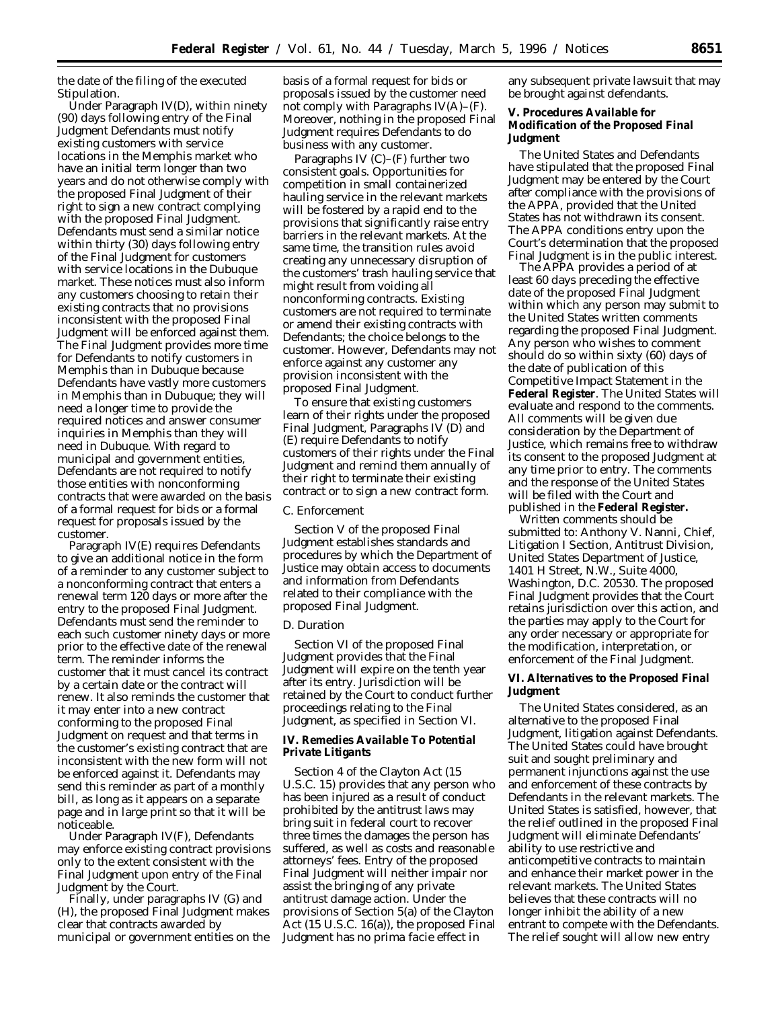the date of the filing of the executed Stipulation.

Under Paragraph IV(D), within ninety (90) days following entry of the Final Judgment Defendants must notify existing customers with service locations in the Memphis market who have an initial term longer than two years and do not otherwise comply with the proposed Final Judgment of their right to sign a new contract complying with the proposed Final Judgment. Defendants must send a similar notice within thirty (30) days following entry of the Final Judgment for customers with service locations in the Dubuque market. These notices must also inform any customers choosing to retain their existing contracts that no provisions inconsistent with the proposed Final Judgment will be enforced against them. The Final Judgment provides more time for Defendants to notify customers in Memphis than in Dubuque because Defendants have vastly more customers in Memphis than in Dubuque; they will need a longer time to provide the required notices and answer consumer inquiries in Memphis than they will need in Dubuque. With regard to municipal and government entities, Defendants are not required to notify those entities with nonconforming contracts that were awarded on the basis of a formal request for bids or a formal request for proposals issued by the customer.

Paragraph IV(E) requires Defendants to give an additional notice in the form of a reminder to any customer subject to a nonconforming contract that enters a renewal term 120 days or more after the entry to the proposed Final Judgment. Defendants must send the reminder to each such customer ninety days or more prior to the effective date of the renewal term. The reminder informs the customer that it must cancel its contract by a certain date or the contract will renew. It also reminds the customer that it may enter into a new contract conforming to the proposed Final Judgment on request and that terms in the customer's existing contract that are inconsistent with the new form will not be enforced against it. Defendants may send this reminder as part of a monthly bill, as long as it appears on a separate page and in large print so that it will be noticeable.

Under Paragraph IV(F), Defendants may enforce existing contract provisions only to the extent consistent with the Final Judgment upon entry of the Final Judgment by the Court.

Finally, under paragraphs IV (G) and (H), the proposed Final Judgment makes clear that contracts awarded by municipal or government entities on the

basis of a formal request for bids or proposals issued by the customer need not comply with Paragraphs  $IV(A)$ – $(F)$ . Moreover, nothing in the proposed Final Judgment requires Defendants to do business with any customer.

Paragraphs IV (C)–(F) further two consistent goals. Opportunities for competition in small containerized hauling service in the relevant markets will be fostered by a rapid end to the provisions that significantly raise entry barriers in the relevant markets. At the same time, the transition rules avoid creating any unnecessary disruption of the customers' trash hauling service that might result from voiding all nonconforming contracts. Existing customers are not required to terminate or amend their existing contracts with Defendants; the choice belongs to the customer. However, Defendants may not enforce against any customer any provision inconsistent with the proposed Final Judgment.

To ensure that existing customers learn of their rights under the proposed Final Judgment, Paragraphs IV (D) and (E) require Defendants to notify customers of their rights under the Final Judgment and remind them annually of their right to terminate their existing contract or to sign a new contract form.

### *C. Enforcement*

Section V of the proposed Final Judgment establishes standards and procedures by which the Department of Justice may obtain access to documents and information from Defendants related to their compliance with the proposed Final Judgment.

#### *D. Duration*

Section VI of the proposed Final Judgment provides that the Final Judgment will expire on the tenth year after its entry. Jurisdiction will be retained by the Court to conduct further proceedings relating to the Final Judgment, as specified in Section VI.

**IV. Remedies Available To Potential Private Litigants**

Section 4 of the Clayton Act (15 U.S.C. 15) provides that any person who has been injured as a result of conduct prohibited by the antitrust laws may bring suit in federal court to recover three times the damages the person has suffered, as well as costs and reasonable attorneys' fees. Entry of the proposed Final Judgment will neither impair nor assist the bringing of any private antitrust damage action. Under the provisions of Section 5(a) of the Clayton Act (15 U.S.C. 16(a)), the proposed Final Judgment has no *prima facie* effect in

any subsequent private lawsuit that may be brought against defendants.

**V. Procedures Available for Modification of the Proposed Final Judgment**

The United States and Defendants have stipulated that the proposed Final Judgment may be entered by the Court after compliance with the provisions of the APPA, provided that the United States has not withdrawn its consent. The APPA conditions entry upon the Court's determination that the proposed Final Judgment is in the public interest.

The APPA provides a period of at least 60 days preceding the effective date of the proposed Final Judgment within which any person may submit to the United States written comments regarding the proposed Final Judgment. Any person who wishes to comment should do so within sixty (60) days of the date of publication of this Competitive Impact Statement in the **Federal Register**. The United States will evaluate and respond to the comments. All comments will be given due consideration by the Department of Justice, which remains free to withdraw its consent to the proposed Judgment at any time prior to entry. The comments and the response of the United States will be filed with the Court and published in the **Federal Register.**

Written comments should be submitted to: Anthony V. Nanni, Chief, Litigation I Section, Antitrust Division, United States Department of Justice, 1401 H Street, N.W., Suite 4000, Washington, D.C. 20530. The proposed Final Judgment provides that the Court retains jurisdiction over this action, and the parties may apply to the Court for any order necessary or appropriate for the modification, interpretation, or enforcement of the Final Judgment.

# **VI. Alternatives to the Proposed Final Judgment**

The United States considered, as an alternative to the proposed Final Judgment, litigation against Defendants. The United States could have brought suit and sought preliminary and permanent injunctions against the use and enforcement of these contracts by Defendants in the relevant markets. The United States is satisfied, however, that the relief outlined in the proposed Final Judgment will eliminate Defendants' ability to use restrictive and anticompetitive contracts to maintain and enhance their market power in the relevant markets. The United States believes that these contracts will no longer inhibit the ability of a new entrant to compete with the Defendants. The relief sought will allow new entry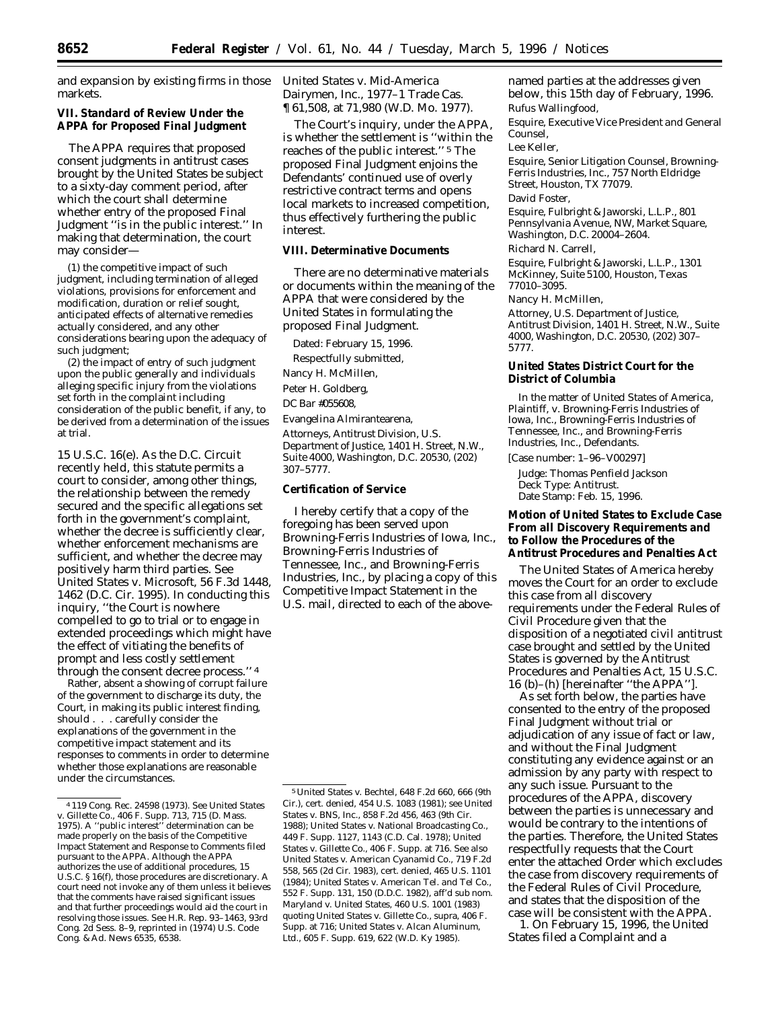and expansion by existing firms in those markets.

**VII. Standard of Review Under the APPA for Proposed Final Judgment**

The APPA requires that proposed consent judgments in antitrust cases brought by the United States be subject to a sixty-day comment period, after which the court shall determine whether entry of the proposed Final Judgment ''is in the public interest.'' In making that determination, the court may consider—

(1) the competitive impact of such judgment, including termination of alleged violations, provisions for enforcement and modification, duration or relief sought, anticipated effects of alternative remedies actually considered, and any other considerations bearing upon the adequacy of such judgment;

(2) the impact of entry of such judgment upon the public generally and individuals alleging specific injury from the violations set forth in the complaint including consideration of the public benefit, if any, to be derived from a determination of the issues at trial.

15 U.S.C. 16(e). As the D.C. Circuit recently held, this statute permits a court to consider, among other things, the relationship between the remedy secured and the specific allegations set forth in the government's complaint, whether the decree is sufficiently clear, whether enforcement mechanisms are sufficient, and whether the decree may positively harm third parties. *See United States* v. *Microsoft*, 56 F.3d 1448, 1462 (D.C. Cir. 1995). In conducting this inquiry, ''the Court is nowhere compelled to go to trial or to engage in extended proceedings which might have the effect of vitiating the benefits of prompt and less costly settlement through the consent decree process.'' 4

Rather, absent a showing of corrupt failure of the government to discharge its duty, the Court, in making its public interest finding, should . . . carefully consider the explanations of the government in the competitive impact statement and its responses to comments in order to determine whether those explanations are reasonable under the circumstances.

*United States* v. *Mid-America Dairymen, Inc.*, 1977–1 Trade Cas. ¶ 61,508, at 71,980 (W.D. Mo. 1977).

The Court's inquiry, under the APPA, is whether the settlement is ''within the reaches of the public interest.'' 5 The proposed Final Judgment enjoins the Defendants' continued use of overly restrictive contract terms and opens local markets to increased competition, thus effectively furthering the public interest.

**VIII. Determinative Documents**

There are no determinative materials or documents within the meaning of the APPA that were considered by the United States in formulating the proposed Final Judgment.

Dated: February 15, 1996.

Respectfully submitted,

Nancy H. McMillen,

Peter H. Goldberg,

*DC Bar* #055608,

Evangelina Almirantearena,

*Attorneys, Antitrust Division, U.S. Department of Justice, 1401 H. Street, N.W., Suite 4000, Washington, D.C. 20530, (202) 307–5777.*

**Certification of Service**

I hereby certify that a copy of the foregoing has been served upon Browning-Ferris Industries of Iowa, Inc., Browning-Ferris Industries of Tennessee, Inc., and Browning-Ferris Industries, Inc., by placing a copy of this Competitive Impact Statement in the U.S. mail, directed to each of the abovenamed parties at the addresses given below, this 15th day of February, 1996. Rufus Wallingfood,

*Esquire, Executive Vice President and General Counsel,*

Lee Keller,

*Esquire, Senior Litigation Counsel, Browning-Ferris Industries, Inc., 757 North Eldridge Street, Houston, TX 77079.* David Foster,

*Esquire, Fulbright & Jaworski, L.L.P., 801 Pennsylvania Avenue, NW, Market Square, Washington, D.C. 20004–2604.* Richard N. Carrell,

*Esquire, Fulbright & Jaworski, L.L.P., 1301 McKinney, Suite 5100, Houston, Texas 77010–3095.*

Nancy H. McMillen,

*Attorney, U.S. Department of Justice, Antitrust Division, 1401 H. Street, N.W., Suite 4000, Washington, D.C. 20530, (202) 307– 5777.*

**United States District Court for the District of Columbia**

In the matter of *United States of America,* Plaintiff, v. *Browning-Ferris Industries of Iowa, Inc., Browning-Ferris Industries of Tennessee, Inc., and Browning-Ferris Industries, Inc.,* Defendants.

[Case number: 1–96–V00297]

Judge: Thomas Penfield Jackson Deck Type: Antitrust. Date Stamp: Feb. 15, 1996.

**Motion of United States to Exclude Case From all Discovery Requirements and to Follow the Procedures of the Antitrust Procedures and Penalties Act**

The United States of America hereby moves the Court for an order to exclude this case from all discovery requirements under the Federal Rules of Civil Procedure given that the disposition of a negotiated civil antitrust case brought and settled by the United States is governed by the Antitrust Procedures and Penalties Act, 15 U.S.C. 16 (b)–(h) [hereinafter ''the APPA''].

As set forth below, the parties have consented to the entry of the proposed Final Judgment without trial or adjudication of any issue of fact or law, and without the Final Judgment constituting any evidence against or an admission by any party with respect to any such issue. Pursuant to the procedures of the APPA, discovery between the parties is unnecessary and would be contrary to the intentions of the parties. Therefore, the United States respectfully requests that the Court enter the attached Order which excludes the case from discovery requirements of the Federal Rules of Civil Procedure, and states that the disposition of the case will be consistent with the APPA.

1. On February 15, 1996, the United States filed a Complaint and a

<sup>4</sup> 119 Cong. Rec. 24598 (1973). *See United States v. Gillette Co.*, 406 F. Supp. 713, 715 (D. Mass. 1975). A ''public interest'' determination can be made properly on the basis of the Competitive Impact Statement and Response to Comments filed pursuant to the APPA. Although the APPA authorizes the use of additional procedures, 15 U.S.C. § 16(f), those procedures are discretionary. A court need not invoke any of them unless it believes that the comments have raised significant issues and that further proceedings would aid the court in resolving those issues. *See* H.R. Rep. 93–1463, 93rd Cong. 2d Sess. 8–9, *reprinted in* (1974) U.S. Code Cong. & Ad. News 6535, 6538.

<sup>5</sup>*United States v. Bechtel*, 648 F.2d 660, 666 (9th Cir.), *cert. denied*, 454 U.S. 1083 (1981); *see United States v. BNS, Inc.*, 858 F.2d 456, 463 (9th Cir. 1988); *United States v. National Broadcasting Co.*, 449 F. Supp. 1127, 1143 (C.D. Cal. 1978); *United States v. Gillette Co.*, 406 F. Supp. at 716. *See also United States v. American Cyanamid Co.*, 719 F.2d 558, 565 (2d Cir. 1983), *cert. denied*, 465 U.S. 1101 (1984); *United States v. American Tel. and Tel Co.*, 552 F. Supp. 131, 150 (D.D.C. 1982), *aff'd sub nom. Maryland v. United States*, 460 U.S. 1001 (1983) *quoting United States v. Gillette Co.*, supra, 406 F. Supp. at 716; *United States v. Alcan Aluminum, Ltd.*, 605 F. Supp. 619, 622 (W.D. Ky 1985).